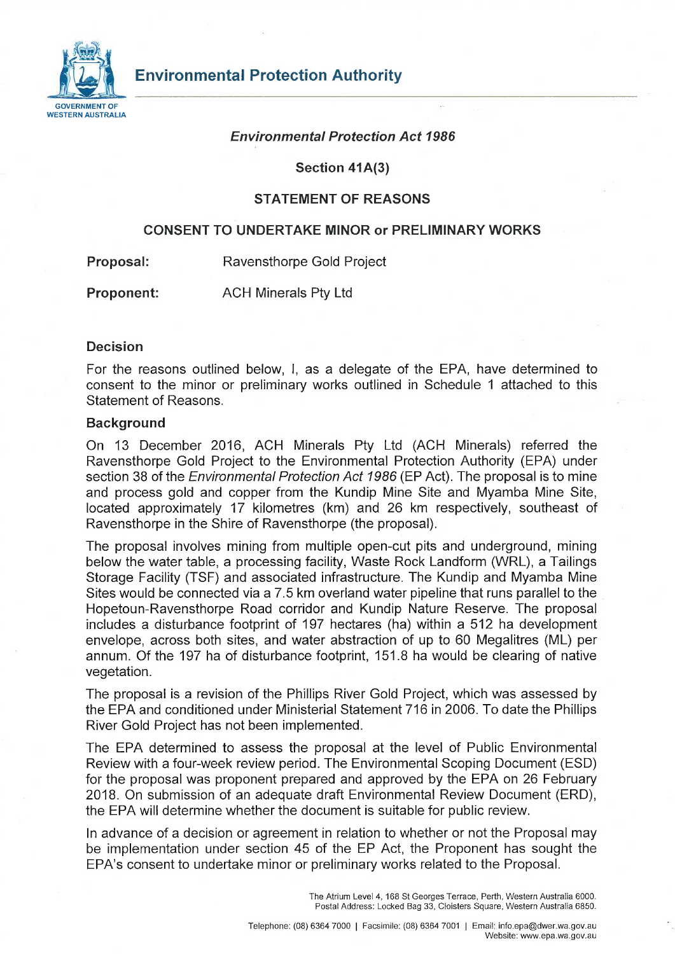

#### *Environmental Protection Act 1986*

**Section 41A(3)** 

#### **STATEMENT OF REASONS**

#### **CONSENT TO UNDERTAKE MINOR or PRELIMINARY WORKS**

**Proposal:** Ravensthorpe Gold Project

**Proponent:** ACH Minerals Pty Ltd

#### **Decision**

For the reasons outlined below, I, as a delegate of the EPA, have determined to consent to the minor or preliminary works outlined in Schedule 1 attached to this Statement of Reasons.

#### **Background**

On 13 December 2016, ACH Minerals Pty Ltd (ACH Minerals) referred the Ravensthorpe Gold Project to the Environmental Protection Authority (EPA) under section 38 of the *Environmental Protection Act 1986* (EP Act). The proposal is to mine and process gold and copper from the Kundip Mine Site and Myamba Mine Site, located approximately 17 kilometres (km) and 26 km respectively, southeast of Ravensthorpe in the Shire of Ravensthorpe (the proposal).

The proposal involves mining from multiple open-cut pits and underground, mining below the water table, a processing facility, Waste Rock Landform (WRL), a Tailings Storage Facility (TSF) and associated infrastructure. The Kundip and Myamba Mine Sites would be connected via a 7.5 km overland water pipeline that runs parallel to the Hopetoun-Ravensthorpe Road corridor and Kundip Nature Reserve. The proposal includes a disturbance footprint of 197 hectares (ha) within a 512 ha development envelope, across both sites, and water abstraction of up to 60 Megalitres (ML) per annum. Of the 197 ha of disturbance footprint, 151.8 ha would be clearing of native vegetation.

The proposal is a revision of the Phillips River Gold Project, which was assessed by the EPA and conditioned under Ministerial Statement 716 in 2006. To date the Phillips River Gold Project has not been implemented.

The EPA determined to assess the proposal at the level of Public Environmental Review with a four-week review period. The Environmental Scoping Document (ESD) for the proposal was proponent prepared and approved by the EPA on 26 February 2018. On submission of an adequate draft Environmental Review Document (ERD), the EPA will determine whether the document is suitable for public review.

In advance of a decision or agreement in relation to whether or not the Proposal may be implementation under section 45 of the EP Act, the Proponent has sought the EPA's consent to undertake minor or preliminary works related to the Proposal.

> The Atrium Level 4, 168 St Georges Terrace, Perth, Western Australia 6000. Postal Address: Locked Bag 33, Cloisters Square, Western Australia 6850.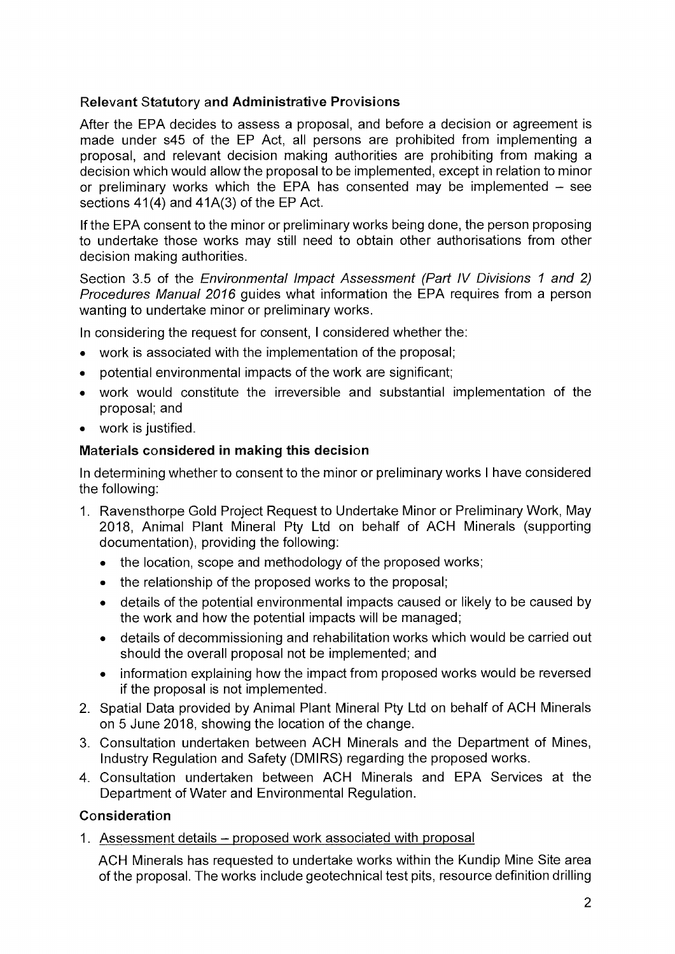## **Relevant Statutory and Administrative Provisions**

After the EPA decides to assess a proposal, and before a decision or agreement is made under s45 of the EP Act, all persons are prohibited from implementing a proposal, and relevant decision making authorities are prohibiting from making a decision which would allow the proposal to be implemented, except in relation to minor or preliminary works which the EPA has consented may be implemented  $-$  see sections 41(4) and 41A(3) of the EP Act.

If the EPA consent to the minor or preliminary works being done, the person proposing to undertake those works may still need to obtain other authorisations from other decision making authorities.

Section 3.5 of the *Environmental Impact Assessment (Part IV Divisions 1 and 2) Procedures Manual 2016* guides what information the EPA requires from a person wanting to undertake minor or preliminary works.

In considering the request for consent, I considered whether the:

- work is associated with the implementation of the proposal;
- potential environmental impacts of the work are significant;
- work would constitute the irreversible and substantial implementation of the proposal; and
- work is justified.

## **Materials considered in making this decision**

In determining whether to consent to the minor or preliminary works I have considered the following:

- 1. Ravensthorpe Gold Project Request to Undertake Minor or Preliminary Work, May 2018, Animal Plant Mineral Pty Ltd on behalf of ACH Minerals (supporting documentation), providing the following:
	- the location, scope and methodology of the proposed works;
	- the relationship of the proposed works to the proposal;
	- details of the potential environmental impacts caused or likely to be caused by the work and how the potential impacts will be managed;
	- details of decommissioning and rehabilitation works which would be carried out should the overall proposal not be implemented; and
	- information explaining how the impact from proposed works would be reversed if the proposal is not implemented.
- 2. Spatial Data provided by Animal Plant Mineral Pty Ltd on behalf of ACH Minerals on 5 June 2018, showing the location of the change.
- 3. Consultation undertaken between ACH Minerals and the Department of Mines, Industry Regulation and Safety (DMIRS) regarding the proposed works.
- 4. Consultation undertaken between ACH Minerals and EPA Services at the Department of Water and Environmental Regulation.

## **Consideration**

1. Assessment details - proposed work associated with proposal

ACH Minerals has requested to undertake works within the Kundip Mine Site area of the proposal. The works include geotechnical test pits, resource definition drilling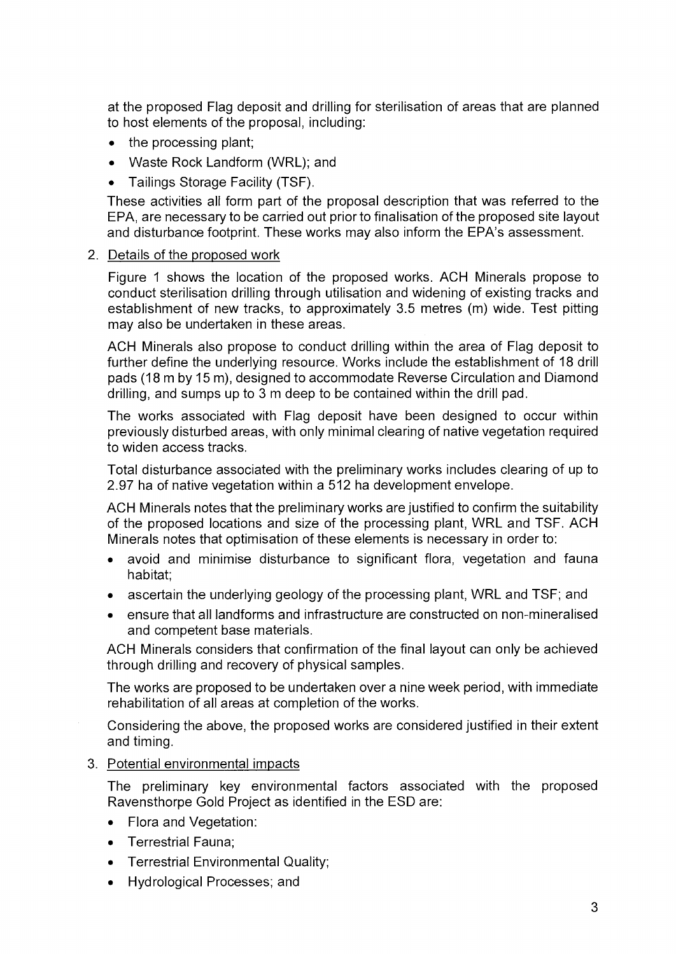at the proposed Flag deposit and drilling for sterilisation of areas that are planned to host elements of the proposal, including:

- the processing plant;
- Waste Rock Landform (WRL); and
- Tailings Storage Facility (TSF).

These activities all form part of the proposal description that was referred to the EPA, are necessary to be carried out prior to finalisation of the proposed site layout and disturbance footprint. These works may also inform the EPA's assessment.

## 2. Details of the proposed work

Figure 1 shows the location of the proposed works. ACH Minerals propose to conduct sterilisation drilling through utilisation and widening of existing tracks and establishment of new tracks, to approximately 3.5 metres (m) wide. Test pitting may also be undertaken in these areas.

ACH Minerals also propose to conduct drilling within the area of Flag deposit to further define the underlying resource. Works include the establishment of 18 drill pads (18 m by 15 m), designed to accommodate Reverse Circulation and Diamond drilling, and sumps up to 3 m deep to be contained within the drill pad.

The works associated with Flag deposit have been designed to occur within previously disturbed areas, with only minimal clearing of native vegetation required to widen access tracks.

Total disturbance associated with the preliminary works includes clearing of up to 2.97 ha of native vegetation within a 512 ha development envelope.

ACH Minerals notes that the preliminary works are justified to confirm the suitability of the proposed locations and size of the processing plant, WRL and TSF. ACH Minerals notes that optimisation of these elements is necessary in order to:

- avoid and minimise disturbance to significant flora, vegetation and fauna habitat;
- ascertain the underlying geology of the processing plant, WRL and TSF; and
- ensure that all landforms and infrastructure are constructed on non-mineralised and competent base materials.

ACH Minerals considers that confirmation of the final layout can only be achieved through drilling and recovery of physical samples.

The works are proposed to be undertaken over a nine week period, with immediate rehabilitation of all areas at completion of the works.

Considering the above, the proposed works are considered justified in their extent and timing.

3. Potential environmental impacts

The preliminary key environmental factors associated with the proposed Ravensthorpe Gold Project as identified in the ESD are:

- Flora and Vegetation:
- Terrestrial Fauna;
- Terrestrial Environmental Quality;
- Hydrological Processes; and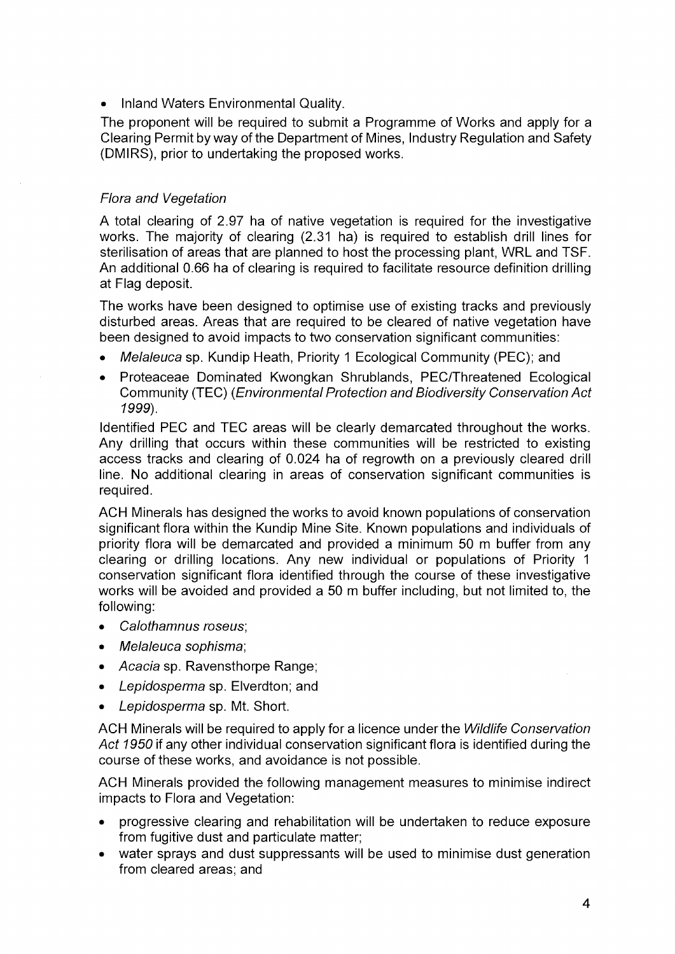• Inland Waters Environmental Quality.

The proponent will be required to submit a Programme of Works and apply for a Clearing Permit byway of the Department of Mines, Industry Regulation and Safety (DMIRS), prior to undertaking the proposed works.

## *Flora and Vegetation*

A total clearing of 2.97 ha of native vegetation is required for the investigative works. The majority of clearing (2.31 ha) is required to establish drill lines for sterilisation of areas that are planned to host the processing plant, WRL and TSF. An additional 0.66 ha of clearing is required to facilitate resource definition drilling at Flag deposit.

The works have been designed to optimise use of existing tracks and previously disturbed areas. Areas that are required to be cleared of native vegetation have been designed to avoid impacts to two conservation significant communities:

- *Melaleuca* sp. Kundip Heath, Priority 1 Ecological Community (PEC); and
- Proteaceae Dominated Kwongkan Shrublands, PEC/Threatened Ecological Community (TEC) (*Environmental Protection and Biodiversity Conservation Act 1999).*

Identified PEC and TEC areas will be clearly demarcated throughout the works. Any drilling that occurs within these communities will be restricted to existing access tracks and clearing of 0.024 ha of regrowth on a previously cleared drill line. No additional clearing in areas of conservation significant communities is required.

ACH Minerals has designed the works to avoid known populations of conservation significant flora within the Kundip Mine Site. Known populations and individuals of priority flora will be demarcated and provided a minimum 50 m buffer from any clearing or drilling locations. Any new individual or populations of Priority 1 conservation significant flora identified through the course of these investigative works will be avoided and provided a 50 m buffer including, but not limited to, the following:

- *Calothamnus roseus;*
- *Melaleuca sophisma;*
- *Acacia* sp. Ravensthorpe Range;
- *Lepidosperma* sp. Elverdton; and
- *Lepidosperma* sp. Mt. Short.

ACH Minerals will be required to apply for a licence under the *Wildlife Conservation Act 1950* if any other individual conservation significant flora is identified during the course of these works, and avoidance is not possible.

ACH Minerals provided the following management measures to minimise indirect impacts to Flora and Vegetation:

- progressive clearing and rehabilitation will be undertaken to reduce exposure from fugitive dust and particulate matter;
- water sprays and dust suppressants will be used to minimise dust generation from cleared areas; and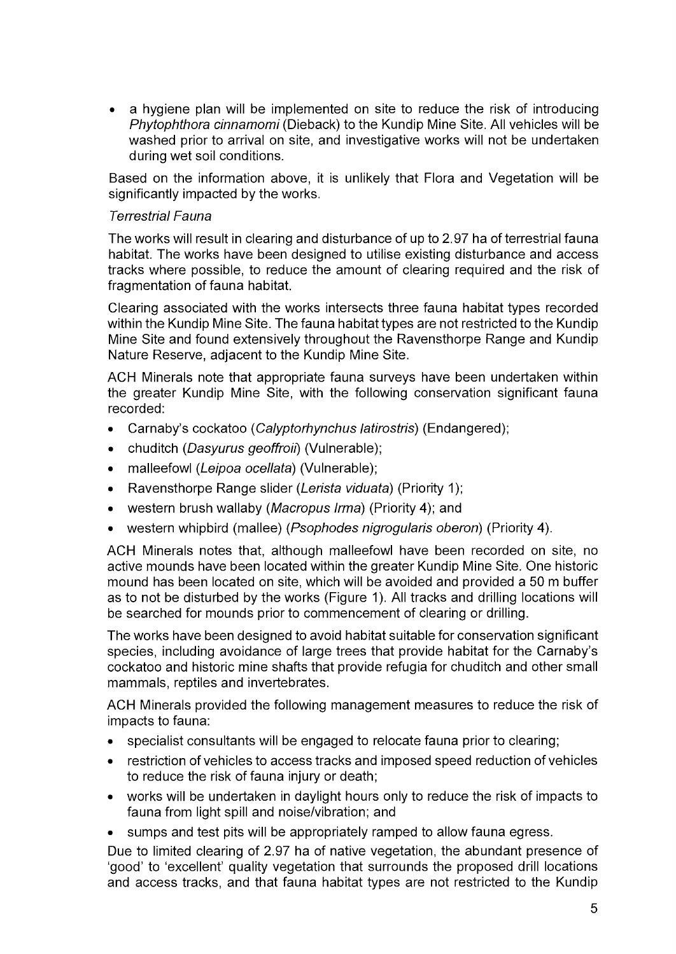• a hygiene plan will be implemented on site to reduce the risk of introducing *Phytophthora cinnamomi* (Dieback) to the Kundip Mine Site. All vehicles will be washed prior to arrival on site, and investigative works will not be undertaken during wet soil conditions.

Based on the information above, it is unlikely that Flora and Vegetation will be significantly impacted by the works.

### *Terrestrial Fauna*

The works will result in clearing and disturbance of up to 2.97 ha of terrestrial fauna habitat. The works have been designed to utilise existing disturbance and access tracks where possible, to reduce the amount of clearing required and the risk of fragmentation of fauna habitat.

Clearing associated with the works intersects three fauna habitat types recorded within the Kundip Mine Site. The fauna habitat types are not restricted to the Kundip Mine Site and found extensively throughout the Ravensthorpe Range and Kundip Nature Reserve, adjacent to the Kundip Mine Site.

ACH Minerals note that appropriate fauna surveys have been undertaken within the greater Kundip Mine Site, with the following conservation significant fauna recorded:

- Carnaby's cockatoo (*Calyptorhynchus latirostris)* (Endangered);
- chuditch (*Dasyurus geoffroii)* (Vulnerable);
- malleefowl (*Leipoa ocellata)* (Vulnerable);
- Ravensthorpe Range slider (*Lerista viduata*) (Priority 1);
- western brush wallaby (*Macropus Irma)* (Priority 4); and
- western whipbird (mallee) (*Psophodes nigrogularis oberon*) (Priority 4).

ACH Minerals notes that, although malleefowl have been recorded on site, no active mounds have been located within the greater Kundip Mine Site. One historic mound has been located on site, which will be avoided and provided a 50 m buffer as to not be disturbed by the works (Figure 1). All tracks and drilling locations will be searched for mounds prior to commencement of clearing or drilling.

The works have been designed to avoid habitat suitable for conservation significant species, including avoidance of large trees that provide habitat for the Carnaby's cockatoo and historic mine shafts that provide refugia for chuditch and other small mammals, reptiles and invertebrates.

ACH Minerals provided the following management measures to reduce the risk of impacts to fauna:

- specialist consultants will be engaged to relocate fauna prior to clearing;
- restriction of vehicles to access tracks and imposed speed reduction of vehicles to reduce the risk of fauna injury or death;
- works will be undertaken in daylight hours only to reduce the risk of impacts to fauna from light spill and noise/vibration; and
- sumps and test pits will be appropriately ramped to allow fauna egress.

Due to limited clearing of 2.97 ha of native vegetation, the abundant presence of 'good' to 'excellent' quality vegetation that surrounds the proposed drill locations and access tracks, and that fauna habitat types are not restricted to the Kundip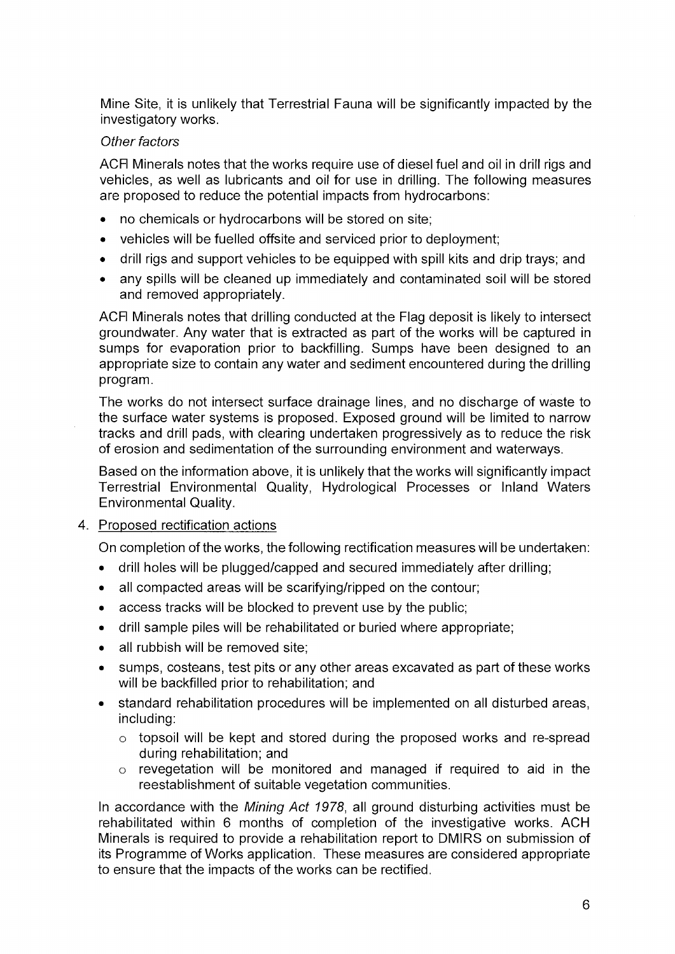Mine Site, it is unlikely that Terrestrial Fauna will be significantly impacted by the investigatory works.

## *Other factors*

ACFI Minerals notes that the works require use of diesel fuel and oil in drill rigs and vehicles, as well as lubricants and oil for use in drilling. The following measures are proposed to reduce the potential impacts from hydrocarbons:

- no chemicals or hydrocarbons will be stored on site;
- vehicles will be fuelled offsite and serviced prior to deployment;
- drill rigs and support vehicles to be equipped with spill kits and drip trays; and
- any spills will be cleaned up immediately and contaminated soil will be stored and removed appropriately.

ACFI Minerals notes that drilling conducted at the Flag deposit is likely to intersect groundwater. Any water that is extracted as part of the works will be captured in sumps for evaporation prior to backfilling. Sumps have been designed to an appropriate size to contain any water and sediment encountered during the drilling program.

The works do not intersect surface drainage lines, and no discharge of waste to the surface water systems is proposed. Exposed ground will be limited to narrow tracks and drill pads, with clearing undertaken progressively as to reduce the risk of erosion and sedimentation of the surrounding environment and waterways.

Based on the information above, it is unlikely that the works will significantly impact Terrestrial Environmental Quality, Hydrological Processes or Inland Waters Environmental Quality.

## 4. Proposed rectification actions

On completion of the works, the following rectification measures will be undertaken:

- drill holes will be plugged/capped and secured immediately after drilling;
- all compacted areas will be scarifying/ripped on the contour;
- access tracks will be blocked to prevent use by the public;
- drill sample piles will be rehabilitated or buried where appropriate;
- all rubbish will be removed site;
- sumps, costeans, test pits or any other areas excavated as part of these works will be backfilled prior to rehabilitation; and
- standard rehabilitation procedures will be implemented on all disturbed areas, including:
	- o topsoil will be kept and stored during the proposed works and re-spread during rehabilitation; and
	- o revegetation will be monitored and managed if required to aid in the reestablishment of suitable vegetation communities.

In accordance with the *Mining Act 1978,* all ground disturbing activities must be rehabilitated within 6 months of completion of the investigative works. ACH Minerals is required to provide a rehabilitation report to DMIRS on submission of its Programme of Works application. These measures are considered appropriate to ensure that the impacts of the works can be rectified.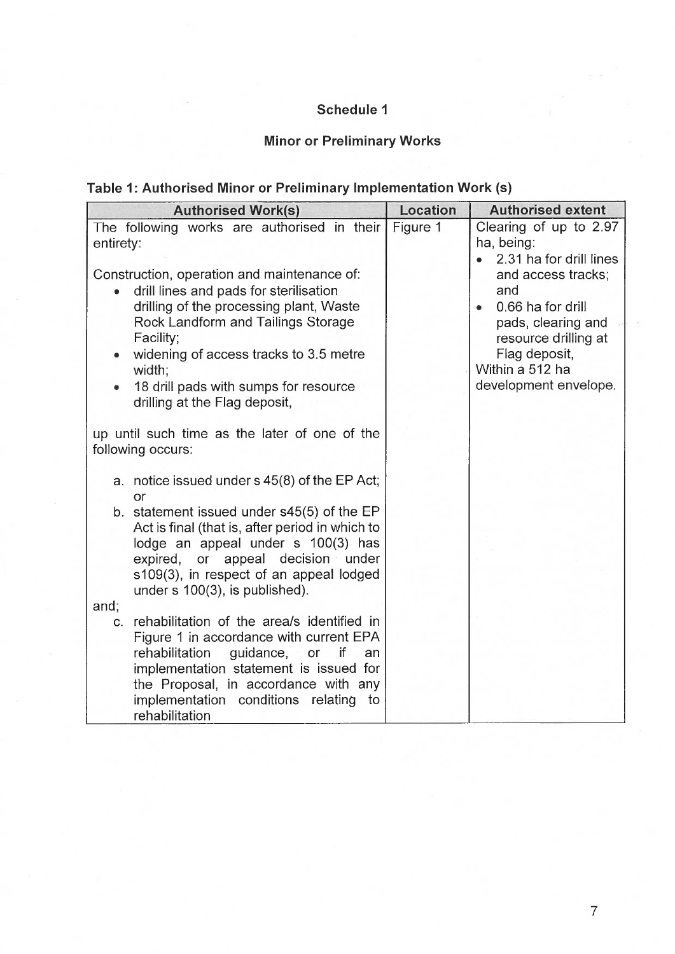# **Schedule 1**

# **Minor or Preliminary Works**

# **Table 1: Authorised Minor or Preliminary Implementation Work (s)**

| <b>Authorised Work(s)</b>                                                                                                                                                                                                                             | <b>Location</b> | <b>Authorised extent</b>                                                                                                                |
|-------------------------------------------------------------------------------------------------------------------------------------------------------------------------------------------------------------------------------------------------------|-----------------|-----------------------------------------------------------------------------------------------------------------------------------------|
| The following works are authorised in their Figure 1<br>entirety:<br>Construction, operation and maintenance of:<br>drill lines and pads for sterilisation<br>drilling of the processing plant, Waste<br>Rock Landform and Tailings Storage           |                 | Clearing of up to 2.97<br>ha, being:<br>2.31 ha for drill lines<br>and access tracks;<br>and<br>0.66 ha for drill<br>pads, clearing and |
| Facility;<br>widening of access tracks to 3.5 metre<br>width;<br>18 drill pads with sumps for resource<br>drilling at the Flag deposit,                                                                                                               |                 | resource drilling at<br>Flag deposit,<br>Within a 512 ha<br>development envelope.                                                       |
| up until such time as the later of one of the<br>following occurs:                                                                                                                                                                                    |                 |                                                                                                                                         |
| a. notice issued under s 45(8) of the EP Act;<br>or                                                                                                                                                                                                   |                 |                                                                                                                                         |
| b. statement issued under s45(5) of the EP<br>Act is final (that is, after period in which to<br>lodge an appeal under s 100(3) has<br>expired, or appeal decision under<br>s109(3), in respect of an appeal lodged<br>under s 100(3), is published). |                 |                                                                                                                                         |
| and;<br>rehabilitation of the area/s identified in<br>C.                                                                                                                                                                                              |                 |                                                                                                                                         |
| Figure 1 in accordance with current EPA<br>rehabilitation<br>guidance, or<br>if<br>an                                                                                                                                                                 |                 |                                                                                                                                         |
| implementation statement is issued for<br>the Proposal, in accordance with any<br>implementation conditions relating<br>to<br>rehabilitation                                                                                                          |                 |                                                                                                                                         |